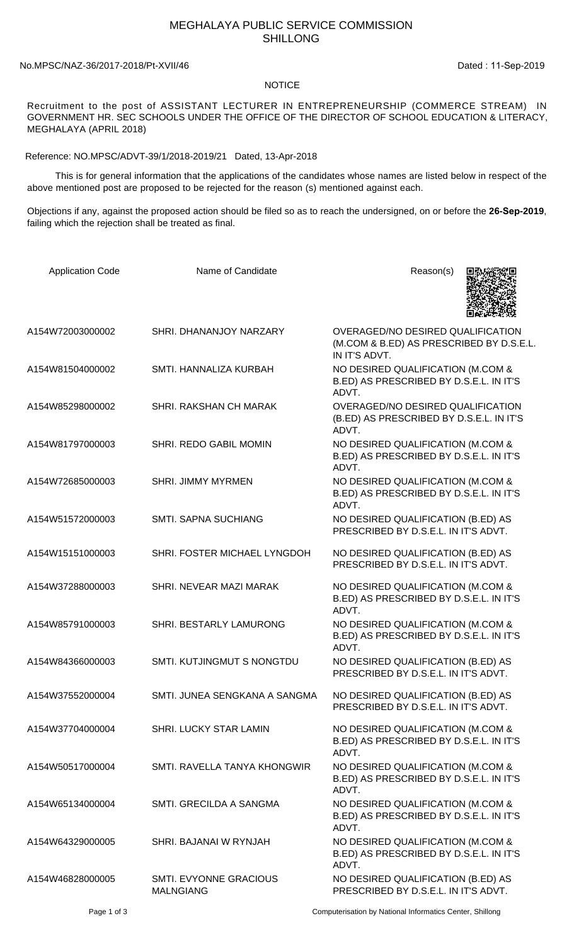## MEGHALAYA PUBLIC SERVICE COMMISSION SHILLONG

## No.MPSC/NAZ-36/2017-2018/Pt-XVII/46 Dated: 11-Sep-2019

## **NOTICE**

Recruitment to the post of ASSISTANT LECTURER IN ENTREPRENEURSHIP (COMMERCE STREAM) IN GOVERNMENT HR. SEC SCHOOLS UNDER THE OFFICE OF THE DIRECTOR OF SCHOOL EDUCATION & LITERACY, MEGHALAYA (APRIL 2018)

Reference: NO.MPSC/ADVT-39/1/2018-2019/21 Dated, 13-Apr-2018

 This is for general information that the applications of the candidates whose names are listed below in respect of the above mentioned post are proposed to be rejected for the reason (s) mentioned against each.

Objections if any, against the proposed action should be filed so as to reach the undersigned, on or before the **26-Sep-2019**, failing which the rejection shall be treated as final.

| <b>Application Code</b> | Name of Candidate                                 | Reason(s)                                                                                      |
|-------------------------|---------------------------------------------------|------------------------------------------------------------------------------------------------|
| A154W72003000002        | SHRI. DHANANJOY NARZARY                           | OVERAGED/NO DESIRED QUALIFICATION<br>(M.COM & B.ED) AS PRESCRIBED BY D.S.E.L.<br>IN IT'S ADVT. |
| A154W81504000002        | SMTI. HANNALIZA KURBAH                            | NO DESIRED QUALIFICATION (M.COM &<br>B.ED) AS PRESCRIBED BY D.S.E.L. IN IT'S<br>ADVT.          |
| A154W85298000002        | SHRI. RAKSHAN CH MARAK                            | OVERAGED/NO DESIRED QUALIFICATION<br>(B.ED) AS PRESCRIBED BY D.S.E.L. IN IT'S<br>ADVT.         |
| A154W81797000003        | SHRI. REDO GABIL MOMIN                            | NO DESIRED QUALIFICATION (M.COM &<br>B.ED) AS PRESCRIBED BY D.S.E.L. IN IT'S<br>ADVT.          |
| A154W72685000003        | <b>SHRI. JIMMY MYRMEN</b>                         | NO DESIRED QUALIFICATION (M.COM &<br>B.ED) AS PRESCRIBED BY D.S.E.L. IN IT'S<br>ADVT.          |
| A154W51572000003        | <b>SMTI. SAPNA SUCHIANG</b>                       | NO DESIRED QUALIFICATION (B.ED) AS<br>PRESCRIBED BY D.S.E.L. IN IT'S ADVT.                     |
| A154W15151000003        | SHRI. FOSTER MICHAEL LYNGDOH                      | NO DESIRED QUALIFICATION (B.ED) AS<br>PRESCRIBED BY D.S.E.L. IN IT'S ADVT.                     |
| A154W37288000003        | SHRI. NEVEAR MAZI MARAK                           | NO DESIRED QUALIFICATION (M.COM &<br>B.ED) AS PRESCRIBED BY D.S.E.L. IN IT'S<br>ADVT.          |
| A154W85791000003        | SHRI. BESTARLY LAMURONG                           | NO DESIRED QUALIFICATION (M.COM &<br>B.ED) AS PRESCRIBED BY D.S.E.L. IN IT'S<br>ADVT.          |
| A154W84366000003        | SMTI. KUTJINGMUT S NONGTDU                        | NO DESIRED QUALIFICATION (B.ED) AS<br>PRESCRIBED BY D.S.E.L. IN IT'S ADVT.                     |
| A154W37552000004        | SMTI. JUNEA SENGKANA A SANGMA                     | NO DESIRED QUALIFICATION (B.ED) AS<br>PRESCRIBED BY D.S.E.L. IN IT'S ADVT.                     |
| A154W37704000004        | SHRI. LUCKY STAR LAMIN                            | NO DESIRED QUALIFICATION (M.COM &<br>B.ED) AS PRESCRIBED BY D.S.E.L. IN IT'S<br>ADVT.          |
| A154W50517000004        | SMTI, RAVELLA TANYA KHONGWIR                      | NO DESIRED QUALIFICATION (M.COM &<br>B.ED) AS PRESCRIBED BY D.S.E.L. IN IT'S<br>ADVT.          |
| A154W65134000004        | SMTI. GRECILDA A SANGMA                           | NO DESIRED QUALIFICATION (M.COM &<br>B.ED) AS PRESCRIBED BY D.S.E.L. IN IT'S<br>ADVT.          |
| A154W64329000005        | SHRI. BAJANAI W RYNJAH                            | NO DESIRED QUALIFICATION (M.COM &<br>B.ED) AS PRESCRIBED BY D.S.E.L. IN IT'S<br>ADVT.          |
| A154W46828000005        | <b>SMTI. EVYONNE GRACIOUS</b><br><b>MALNGIANG</b> | NO DESIRED QUALIFICATION (B.ED) AS<br>PRESCRIBED BY D.S.E.L. IN IT'S ADVT.                     |
| Page 1 of 3             |                                                   | Computerisation by National Informatics Center, Shillong                                       |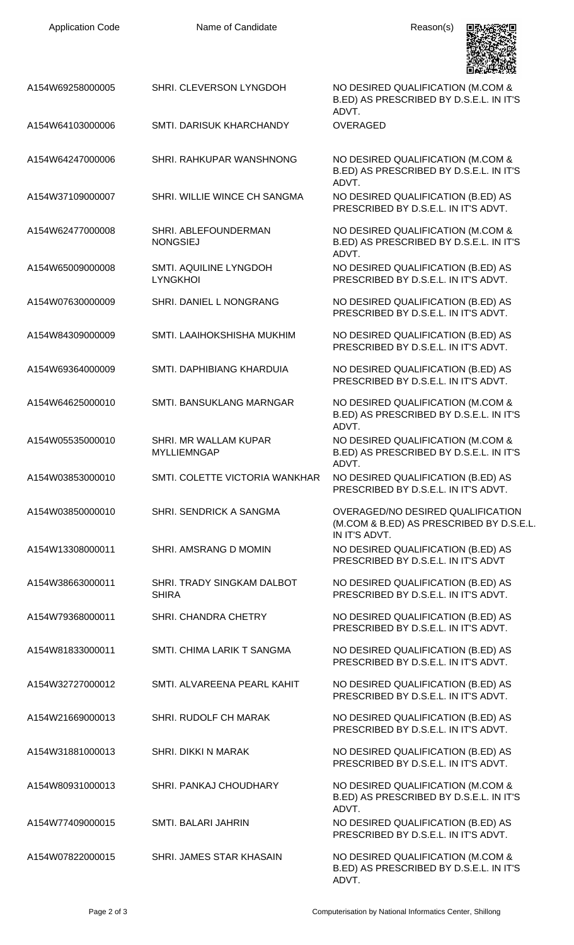| A154W69258000005 | SHRI. CLEVERSON LYNGDOH                     | NO DESIRED QUALIFICATION (M.COM &<br>B.ED) AS PRESCRIBED BY D.S.E.L. IN IT'S<br>ADVT.          |
|------------------|---------------------------------------------|------------------------------------------------------------------------------------------------|
| A154W64103000006 | SMTI, DARISUK KHARCHANDY                    | <b>OVERAGED</b>                                                                                |
| A154W64247000006 | SHRI. RAHKUPAR WANSHNONG                    | NO DESIRED QUALIFICATION (M.COM &<br>B.ED) AS PRESCRIBED BY D.S.E.L. IN IT'S<br>ADVT.          |
| A154W37109000007 | SHRI. WILLIE WINCE CH SANGMA                | NO DESIRED QUALIFICATION (B.ED) AS<br>PRESCRIBED BY D.S.E.L. IN IT'S ADVT.                     |
| A154W62477000008 | SHRI, ABLEFOUNDERMAN<br><b>NONGSIEJ</b>     | NO DESIRED QUALIFICATION (M.COM &<br>B.ED) AS PRESCRIBED BY D.S.E.L. IN IT'S<br>ADVT.          |
| A154W65009000008 | SMTI. AQUILINE LYNGDOH<br><b>LYNGKHOI</b>   | NO DESIRED QUALIFICATION (B.ED) AS<br>PRESCRIBED BY D.S.E.L. IN IT'S ADVT.                     |
| A154W07630000009 | SHRI. DANIEL L NONGRANG                     | NO DESIRED QUALIFICATION (B.ED) AS<br>PRESCRIBED BY D.S.E.L. IN IT'S ADVT.                     |
| A154W84309000009 | SMTI. LAAIHOKSHISHA MUKHIM                  | NO DESIRED QUALIFICATION (B.ED) AS<br>PRESCRIBED BY D.S.E.L. IN IT'S ADVT.                     |
| A154W69364000009 | SMTI. DAPHIBIANG KHARDUIA                   | NO DESIRED QUALIFICATION (B.ED) AS<br>PRESCRIBED BY D.S.E.L. IN IT'S ADVT.                     |
| A154W64625000010 | <b>SMTI. BANSUKLANG MARNGAR</b>             | NO DESIRED QUALIFICATION (M.COM &<br>B.ED) AS PRESCRIBED BY D.S.E.L. IN IT'S<br>ADVT.          |
| A154W05535000010 | SHRI. MR WALLAM KUPAR<br><b>MYLLIEMNGAP</b> | NO DESIRED QUALIFICATION (M.COM &<br>B.ED) AS PRESCRIBED BY D.S.E.L. IN IT'S<br>ADVT.          |
| A154W03853000010 | SMTI. COLETTE VICTORIA WANKHAR              | NO DESIRED QUALIFICATION (B.ED) AS<br>PRESCRIBED BY D.S.E.L. IN IT'S ADVT.                     |
| A154W03850000010 | SHRI. SENDRICK A SANGMA                     | OVERAGED/NO DESIRED QUALIFICATION<br>(M.COM & B.ED) AS PRESCRIBED BY D.S.E.L.<br>IN IT'S ADVT. |
| A154W13308000011 | SHRI. AMSRANG D MOMIN                       | NO DESIRED QUALIFICATION (B.ED) AS<br>PRESCRIBED BY D.S.E.L. IN IT'S ADVT                      |
| A154W38663000011 | SHRI. TRADY SINGKAM DALBOT<br><b>SHIRA</b>  | NO DESIRED QUALIFICATION (B.ED) AS<br>PRESCRIBED BY D.S.E.L. IN IT'S ADVT.                     |
| A154W79368000011 | SHRI. CHANDRA CHETRY                        | NO DESIRED QUALIFICATION (B.ED) AS<br>PRESCRIBED BY D.S.E.L. IN IT'S ADVT.                     |
| A154W81833000011 | SMTI. CHIMA LARIK T SANGMA                  | NO DESIRED QUALIFICATION (B.ED) AS<br>PRESCRIBED BY D.S.E.L. IN IT'S ADVT.                     |
| A154W32727000012 | SMTI, ALVAREENA PEARL KAHIT                 | NO DESIRED QUALIFICATION (B.ED) AS<br>PRESCRIBED BY D.S.E.L. IN IT'S ADVT.                     |
| A154W21669000013 | SHRI. RUDOLF CH MARAK                       | NO DESIRED QUALIFICATION (B.ED) AS<br>PRESCRIBED BY D.S.E.L. IN IT'S ADVT.                     |
| A154W31881000013 | <b>SHRI. DIKKI N MARAK</b>                  | NO DESIRED QUALIFICATION (B.ED) AS<br>PRESCRIBED BY D.S.E.L. IN IT'S ADVT.                     |
| A154W80931000013 | SHRI. PANKAJ CHOUDHARY                      | NO DESIRED QUALIFICATION (M.COM &<br>B.ED) AS PRESCRIBED BY D.S.E.L. IN IT'S<br>ADVT.          |
| A154W77409000015 | SMTI. BALARI JAHRIN                         | NO DESIRED QUALIFICATION (B.ED) AS<br>PRESCRIBED BY D.S.E.L. IN IT'S ADVT.                     |
| A154W07822000015 | SHRI. JAMES STAR KHASAIN                    | NO DESIRED QUALIFICATION (M.COM &<br>B.ED) AS PRESCRIBED BY D.S.E.L. IN IT'S                   |

Application Code **Name of Candidate Name of Candidate** Reason(s)

鳳

Ξ

ADVT.